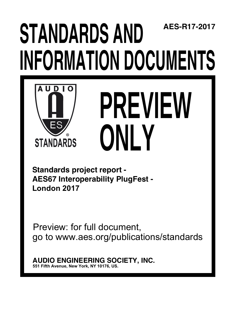# **STANDARDS AND INFORMATION DOCUMENTS AES-R17-2017**



# **PREVIEW ONLY**

**Standards project report - AES67 Interoperability PlugFest - London 2017**

Preview: for full document, go to www.aes.org/publications/standards

**AUDIO ENGINEERING SOCIETY, INC. 551 Fifth Avenue, New York, NY 10176, US.**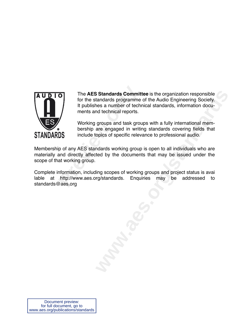

The **AES Standards Commit**<br>for the standards programme<br>it publishes a number of tech<br>ments and technical reports.<br>Working groups and task grou<br>bership are engaged in writii<br>include topics of specific relev<br>ip of any AES st The **AES Standards Committee** is the organization responsible for the standards programme of the Audio Engineering Society. It publishes a number of technical standards, information documents and technical reports.

Working groups and task groups with a fully international membership are engaged in writing standards covering fields that include topics of specific relevance to professional audio.

Membership of any AES standards working group is open to all individuals who are materially and directly affected by the documents that may be issued under the scope of that working group.

mardards. Enquiries may be addressed to Complete information, including scopes of working groups and project status is avai lable at http://www.aes.org/standards. Enquiries may be standards@aes.org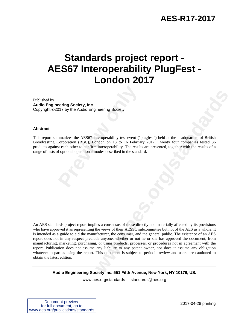## **AES-R17-2017**

# **Standards project report - AES67 Interoperability PlugFest - London 2017**

Published by **Audio Engineering Society, Inc.**  Copyright ©2017 by the Audio Engineering Society

#### **Abstract**

**Property Society, Inc.**<br>
117 by the Audio Engineering Society<br>
117 by the Audio Engineering Society<br>
117 by the Audio Engineering Society<br>
12. Previous Confirm interoperability. The result<br>
14. Previous of optional operat This report summarizes the AES67 interoperability test event ("plugfest") held at the headquarters of British Broadcasting Corporation (BBC), London on 13 to 16 February 2017. Twenty four companies tested 36 products against each other to confirm interoperability. The results are presented, together with the results of a range of tests of optional operational modes described in the standard.

**Example 18 Society**<br> **We are the comparison of 3 to 16 February 2017. Twenty four companies tested 36 ondom on 13 to 16 February 2017. Twenty four companies tested 36<br>
interoperability. The results are presented, together** An AES standards project report implies a consensus of those directly and materially affected by its provisions who have approved it as representing the views of their AESSC subcommittee but not of the AES as a whole. It is intended as a guide to aid the manufacturer, the consumer, and the general public. The existence of an AES report does not in any respect preclude anyone, whether or not he or she has approved the document, from manufacturing, marketing, purchasing, or using products, processes, or procedures not in agreement with the report. Publication does not assume any liability to any patent owner, nor does it assume any obligation whatever to parties using the report. This document is subject to periodic review and users are cautioned to obtain the latest edition.

**Audio Engineering Society Inc. 551 Fifth Avenue, New York, NY 10176, US.** 

www.aes.org/standards standards@aes.org

| Document preview:                  |
|------------------------------------|
| for full document, go to           |
| www.aes.org/publications/standards |

2017-04-28 printing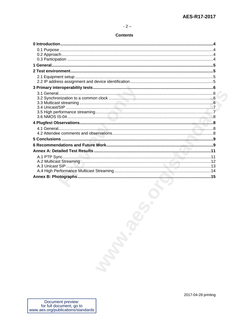#### $-2-$

#### **Contents**

| <b>Marian</b> |  |
|---------------|--|
|               |  |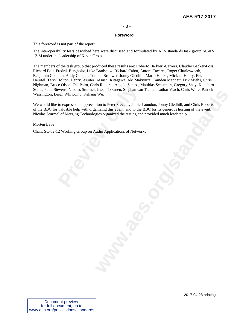#### **Foreword**

This foreword is not part of the report.

The interoperability tests described here were discussed and formulated by AES standards task group SC-02- 12-M under the leadership of Kevin Gross.

The members of the task group that produced these results are: Roberto Barbieri-Carrera, Claudio Becker-Foss, Richard Bell, Fredrik Bergholtz, Luke Bradshaw, Richard Cabot, Antoni Caceres, Roger Charlesworth, Benjamin Cochran, Andy Cooper, Tom de Brouwer, Jonny Gledhill, Mario Henke, Mickael Henry, Eric Heurtel, Terry Holton, Henry Jesuiter, Atsushi Kitagawa, Aki Makivirta, Camden Mannett, Erik Miehs, Chris Nighman, Bruce Olson, Ola Palm, Chris Roberts, Angelo Santos, Matthias Schuchert, Gregory Shay, Keiichiro Soma, Peter Stevens, Nicolas Sturmel, Jussi Tikkanen, Stephan van Tienen, Lothar Vlach, Chris Ware, Patrick Warrington, Leigh Whitcomb, Kehang Wu.

**Previously** Consoling Muslem Considers, and Considers and Whitcomb, Kehang Wu.<br> **Previous Sturmel**, Jussi Tikkanen, Stephan valuable help with organizing this event, and to the<br> **Previously** Consider a lot of Merging Tech **where**<br> **www.asset includes**<br> **www.asset includes**<br> **www.arestrandards**<br> **www.arestrandards**<br> **with the PEC for its generous hosting of the event.**<br> **with the PEC for its generous hosting of the event.**<br> **with Application** We would like to express our appreciation to Peter Stevens, Jamie Laundon, Jonny Gledhill, and Chris Roberts of the BBC for valuable help with organizing this event, and to the BBC for its generous hosting of the event. Nicolas Sturmel of Merging Technologies organized the testing and provided much leadership.

Morten Lave

Chair, SC-02-12 Working Group on Audio Applications of Networks